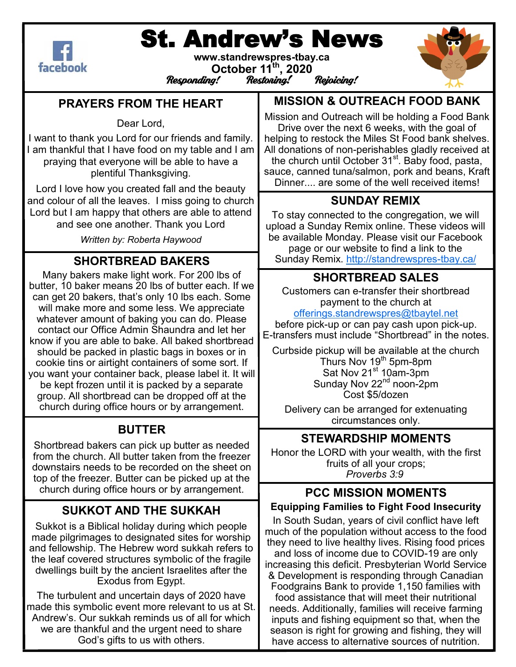

# St. Andrew's News

**www.standrewspres-tbay.ca October 11th, 2020** Responding!



#### **PRAYERS FROM THE HEART**

Dear Lord,

I want to thank you Lord for our friends and family. I am thankful that I have food on my table and I am praying that everyone will be able to have a plentiful Thanksgiving.

Lord I love how you created fall and the beauty and colour of all the leaves. I miss going to church Lord but I am happy that others are able to attend and see one another. Thank you Lord

*Written by: Roberta Haywood* 

## **SHORTBREAD BAKERS**

Many bakers make light work. For 200 lbs of butter, 10 baker means 20 lbs of butter each. If we can get 20 bakers, that's only 10 lbs each. Some will make more and some less. We appreciate whatever amount of baking you can do. Please contact our Office Admin Shaundra and let her know if you are able to bake. All baked shortbread should be packed in plastic bags in boxes or in cookie tins or airtight containers of some sort. If you want your container back, please label it. It will be kept frozen until it is packed by a separate group. All shortbread can be dropped off at the church during office hours or by arrangement.

#### **BUTTER**

Shortbread bakers can pick up butter as needed from the church. All butter taken from the freezer downstairs needs to be recorded on the sheet on top of the freezer. Butter can be picked up at the church during office hours or by arrangement.

## **SUKKOT AND THE SUKKAH**

Sukkot is a Biblical holiday during which people made pilgrimages to designated sites for worship and fellowship. The Hebrew word sukkah refers to the leaf covered structures symbolic of the fragile dwellings built by the ancient Israelites after the Exodus from Egypt.

The turbulent and uncertain days of 2020 have made this symbolic event more relevant to us at St. Andrew's. Our sukkah reminds us of all for which we are thankful and the urgent need to share God's gifts to us with others.

**MISSION & OUTREACH FOOD BANK**

Mission and Outreach will be holding a Food Bank Drive over the next 6 weeks, with the goal of helping to restock the Miles St Food bank shelves. All donations of non-perishables gladly received at the church until October  $31<sup>st</sup>$ . Baby food, pasta, sauce, canned tuna/salmon, pork and beans, Kraft Dinner.... are some of the well received items!

## **SUNDAY REMIX**

To stay connected to the congregation, we will upload a Sunday Remix online. These videos will be available Monday. Please visit our Facebook page or our website to find a link to the Sunday Remix. [http://standrewspres](http://standrewspres-tbay.ca/)-tbay.ca/

## **SHORTBREAD SALES**

Customers can e-transfer their shortbread payment to the church at

[offerings.standrewspres@tbaytel.net](mailto:offerings.standrewspres@tbaytel.net)

before pick-up or can pay cash upon pick-up. E-transfers must include "Shortbread" in the notes.

Curbside pickup will be available at the church Thurs Nov 19<sup>th</sup> 5pm-8pm Sat Nov  $21^{st}$  10am-3pm Sunday Nov  $22<sup>nd</sup>$  noon-2pm Cost \$5/dozen

Delivery can be arranged for extenuating circumstances only.

#### **STEWARDSHIP MOMENTS**

Honor the LORD with your wealth, with the first fruits of all your crops; *Proverbs 3:9*

#### **PCC MISSION MOMENTS Equipping Families to Fight Food Insecurity**

In South Sudan, years of civil conflict have left much of the population without access to the food they need to live healthy lives. Rising food prices and loss of income due to COVID-19 are only increasing this deficit. Presbyterian World Service & Development is responding through Canadian Foodgrains Bank to provide 1,150 families with food assistance that will meet their nutritional needs. Additionally, families will receive farming inputs and fishing equipment so that, when the season is right for growing and fishing, they will have access to alternative sources of nutrition.